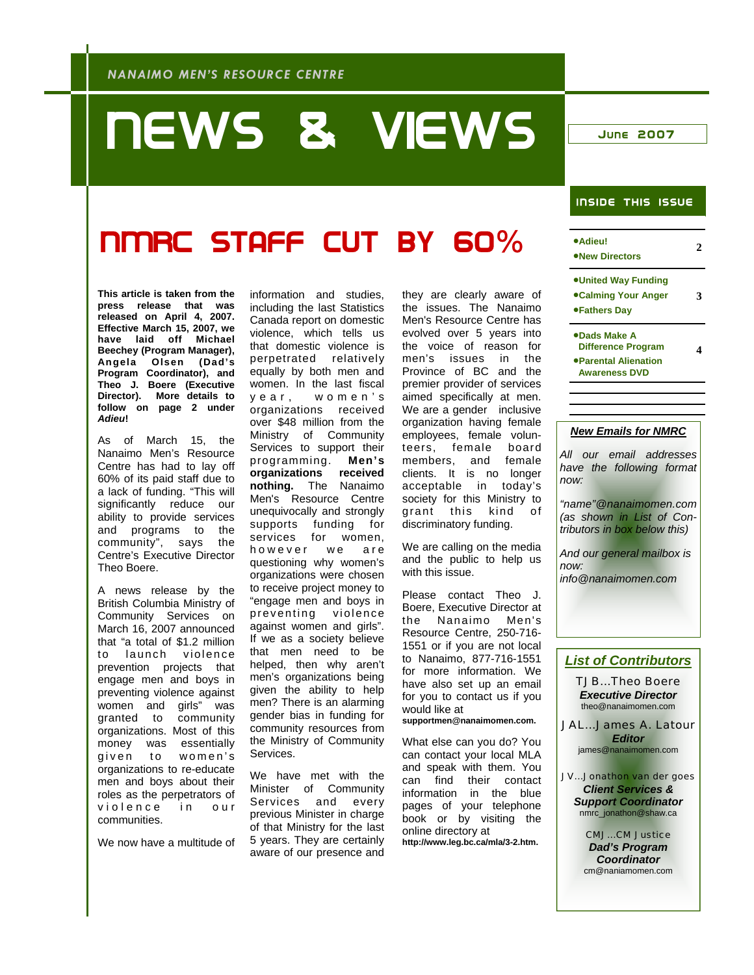# NEWS & VIEWS JUNE 2007

### INSIDE THIS ISSUE

# NMRC Staff cut by 60%

**This article is taken from the press release that was released on April 4, 2007. Effective March 15, 2007, we have laid off Michael Beechey (Program Manager), Angela Olsen (Dad's Program Coordinator), and Theo J. Boere (Executive Director). More details to follow on page 2 under**  *Adieu***!** 

As of March 15, the Nanaimo Men's Resource Centre has had to lay off 60% of its paid staff due to a lack of funding. "This will significantly reduce our ability to provide services and programs to the community", says the Centre's Executive Director Theo Boere.

A news release by the British Columbia Ministry of Community Services on March 16, 2007 announced that "a total of \$1.2 million to launch violence prevention projects that engage men and boys in preventing violence against women and girls" was granted to community organizations. Most of this money was essentially given to women's organizations to re-educate men and boys about their roles as the perpetrators of violence in our communities.

We now have a multitude of

information and studies, including the last Statistics Canada report on domestic violence, which tells us that domestic violence is perpetrated relatively equally by both men and women. In the last fiscal y e a r, w o m e n's organizations received over \$48 million from the Ministry of Community Services to support their programming. **Men's organizations received nothing.** The Nanaimo Men's Resource Centre unequivocally and strongly supports funding for services for women, however we are questioning why women's organizations were chosen to receive project money to "engage men and boys in preventing violence against women and girls". If we as a society believe that men need to be helped, then why aren't men's organizations being given the ability to help men? There is an alarming gender bias in funding for community resources from the Ministry of Community Services.

We have met with the Minister of Community Services and every previous Minister in charge of that Ministry for the last 5 years. They are certainly aware of our presence and

they are clearly aware of the issues. The Nanaimo Men's Resource Centre has evolved over 5 years into the voice of reason for men's issues in the Province of BC and the premier provider of services aimed specifically at men. We are a gender inclusive organization having female employees, female volunteers, female board members, and female clients. It is no longer acceptable in today's society for this Ministry to grant this kind of discriminatory funding.

We are calling on the media and the public to help us with this issue.

Please contact Theo J. Boere, Executive Director at the Nanaimo Men's Resource Centre, 250-716- 1551 or if you are not local to Nanaimo, 877-716-1551 for more information. We have also set up an email for you to contact us if you would like at **supportmen@nanaimomen.com.** 

What else can you do? You can contact your local MLA and speak with them. You can find their contact information in the blue pages of your telephone book or by visiting the online directory at **http://www.leg.bc.ca/mla/3-2.htm.** 

JV...Jonathon van der goes

*Client Services & Support Coordinator*  nmrc\_jonathon@shaw.ca

> CMJ...CM Justice *Dad's Program Coordinator*  cm@naniamomen.com

| ·Adieu!<br><b>.New Directors</b>                                                          |   |
|-------------------------------------------------------------------------------------------|---|
| <b>.United Way Funding</b><br>●Calming Your Anger<br>●Fathers Day                         | З |
| ●Dads Make A<br><b>Difference Program</b><br>●Parental Alienation<br><b>Awareness DVD</b> |   |
|                                                                                           |   |
|                                                                                           |   |

### *New Emails for NMRC*

*All our email addresses have the following format now:* 

*"name"@nanaimomen.com (as shown in List of Contributors in box below this)* 

*And our general mailbox is now: info@nanaimomen.com* 

### *List of Contributors*

TJB...Theo Boere *Executive Director*  theo@nanaimomen.com

JAL...James A. Latour *Editor*  james@nanaimomen.com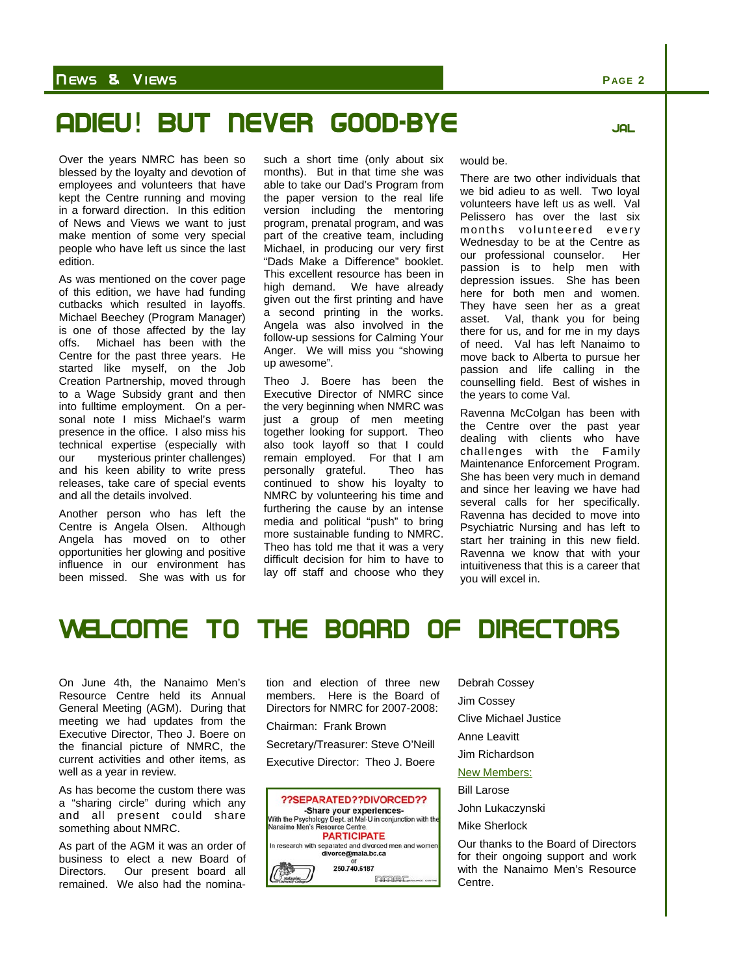### N EWS & VI EWS **P AGE 2**

# Adieu! But never good-bye JAL



Over the years NMRC has been so blessed by the loyalty and devotion of employees and volunteers that have kept the Centre running and moving in a forward direction. In this edition of News and Views we want to just make mention of some very special people who have left us since the last edition.

As was mentioned on the cover page of this edition, we have had funding cutbacks which resulted in layoffs. Michael Beechey (Program Manager) is one of those affected by the lay<br>offs. Michael has been with the Michael has been with the Centre for the past three years. He started like myself, on the Job Creation Partnership, moved through to a Wage Subsidy grant and then into fulltime employment. On a personal note I miss Michael's warm presence in the office. I also miss his technical expertise (especially with our mysterious printer challenges) and his keen ability to write press releases, take care of special events and all the details involved.

Another person who has left the Centre is Angela Olsen. Although Angela has moved on to other opportunities her glowing and positive influence in our environment has been missed. She was with us for such a short time (only about six months). But in that time she was able to take our Dad's Program from the paper version to the real life version including the mentoring program, prenatal program, and was part of the creative team, including Michael, in producing our very first "Dads Make a Difference" booklet. This excellent resource has been in high demand. We have already given out the first printing and have a second printing in the works. Angela was also involved in the follow-up sessions for Calming Your Anger. We will miss you "showing up awesome".

Theo J. Boere has been the Executive Director of NMRC since the very beginning when NMRC was just a group of men meeting together looking for support. Theo also took layoff so that I could remain employed. For that I am personally grateful. Theo has continued to show his loyalty to NMRC by volunteering his time and furthering the cause by an intense media and political "push" to bring more sustainable funding to NMRC. Theo has told me that it was a very difficult decision for him to have to lay off staff and choose who they

#### would be.

There are two other individuals that we bid adieu to as well. Two loyal volunteers have left us as well. Val Pelissero has over the last six months volunteered every Wednesday to be at the Centre as our professional counselor. Her passion is to help men with depression issues. She has been here for both men and women. They have seen her as a great asset. Val, thank you for being there for us, and for me in my days of need. Val has left Nanaimo to move back to Alberta to pursue her passion and life calling in the counselling field. Best of wishes in the years to come Val.

Ravenna McColgan has been with the Centre over the past year dealing with clients who have challenges with the Family Maintenance Enforcement Program. She has been very much in demand and since her leaving we have had several calls for her specifically. Ravenna has decided to move into Psychiatric Nursing and has left to start her training in this new field. Ravenna we know that with your intuitiveness that this is a career that you will excel in.

### Welcome to The board of directors

On June 4th, the Nanaimo Men's Resource Centre held its Annual General Meeting (AGM). During that meeting we had updates from the Executive Director, Theo J. Boere on the financial picture of NMRC, the current activities and other items, as well as a year in review.

As has become the custom there was a "sharing circle" during which any and all present could share something about NMRC.

As part of the AGM it was an order of business to elect a new Board of Directors. Our present board all remained. We also had the nomination and election of three new members. Here is the Board of Directors for NMRC for 2007-2008:

Chairman: Frank Brown

Secretary/Treasurer: Steve O'Neill Executive Director: Theo J. Boere



Debrah Cossey

Jim Cossey

Clive Michael Justice

Anne Leavitt

Jim Richardson

New Members:

Bill Larose

John Lukaczynski

Mike Sherlock

Our thanks to the Board of Directors for their ongoing support and work with the Nanaimo Men's Resource Centre.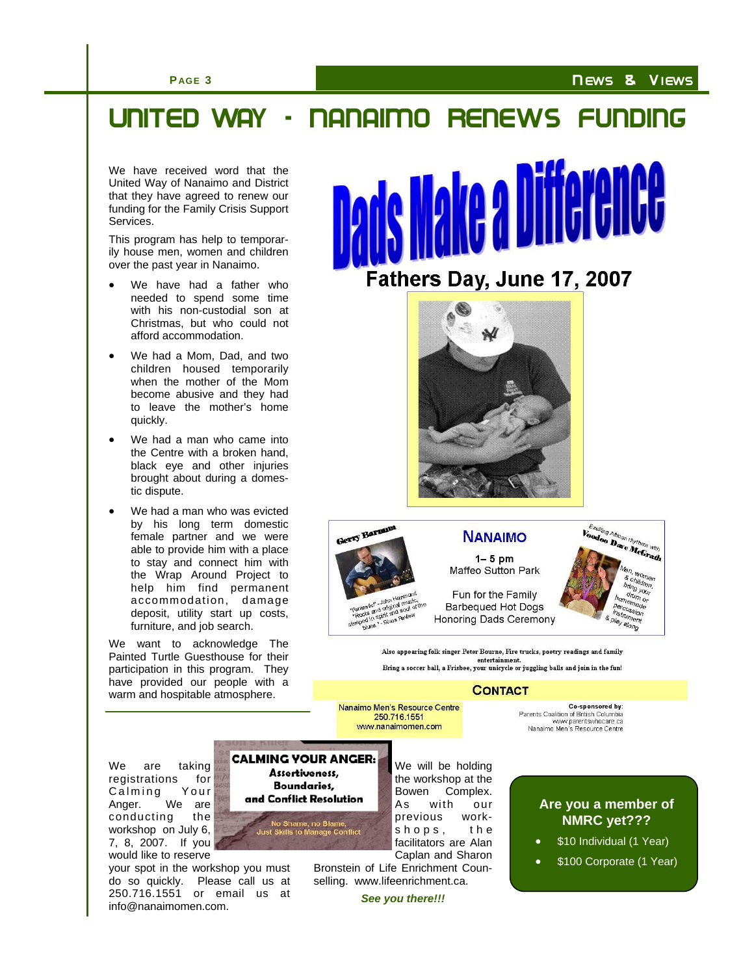### N EWS & VI EWS

### **P AGE 3**

# United Way - Nanaimo Renews Funding

We have received word that the United Way of Nanaimo and District that they have agreed to renew our funding for the Family Crisis Support Services.

This program has help to temporarily house men, women and children over the past year in Nanaimo.

- We have had a father who needed to spend some time with his non-custodial son at Christmas, but who could not afford accommodation.
- We had a Mom, Dad, and two children housed temporarily when the mother of the Mom become abusive and they had to leave the mother's home quickly.
- We had a man who came into the Centre with a broken hand, black eye and other injuries brought about during a domestic dispute.
- We had a man who was evicted by his long term domestic female partner and we were able to provide him with a place to stay and connect him with the Wrap Around Project to help him find permanent accommodation, damage deposit, utility start up costs, furniture, and job search.

We want to acknowledge The Painted Turtle Guesthouse for their participation in this program. They have provided our people with a warm and hospitable atmosphere.





steeped blues

**NANAIMO** 

 $1-5$  pm Maffeo Sutton Park

Fun for the Family **Barbequed Hot Dogs** Honoring Dads Ceremony



Exciting African rhythms with

Also appearing folk singer Peter Bourne, Fire trucks, poetry readings and family entertainment.<br>Bring a soccer ball, a Frisbee, your unicycle or juggling balls and join in the fun!

**CONTACT** 

Nanaimo Men's Resource Centre 250 716 1551 www.nanaimomen.com

Co-sponsored by: Parents Coalition of British Columbia www.parentswhocare.ca<br>www.parentswhocare.ca<br>Nanaimo Men's Resource Centre

We are taking registrations for Calming Your Anger. We are conducting the workshop on July 6, 7, 8, 2007. If you would like to reserve

your spot in the workshop you must do so quickly. Please call us at 250.716.1551 or email us at info@nanaimomen.com.

**CALMING YOUR ANGER:** Assertiveness, **Boundaries,** and Conflict Resolution No Shame, no Blame,<br>Just Skills to Manage Conflict

We will be holding the workshop at the Bowen Complex. As with our previous workshops, the facilitators are Alan Caplan and Sharon

Bronstein of Life Enrichment Counselling. www.lifeenrichment.ca.

*See you there!!!* 

### **Are you a member of NMRC yet???**

- \$10 Individual (1 Year)
- \$100 Corporate (1 Year)